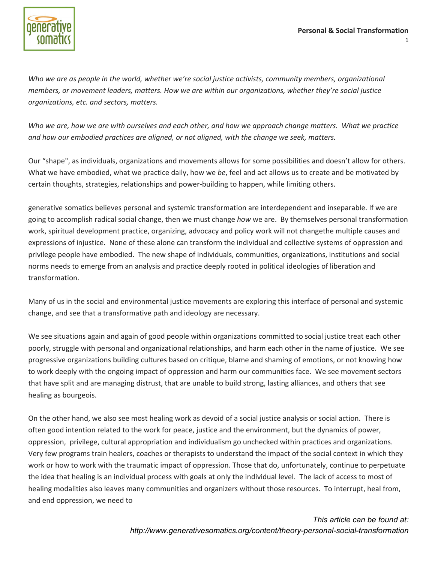

*Who we are as people in the world, whether we're social justice activists, community members, organizational members, or movement leaders, matters. How we are within our organizations, whether they're social justice organizations, etc. and sectors, matters.*

Who we are, how we are with ourselves and each other, and how we approach change matters. What we practice *and how our embodied practices are aligned, or not aligned, with the change we seek, matters.*

Our "shape", as individuals, organizations and movements allows for some possibilities and doesn't allow for others. What we have embodied, what we practice daily, how we *be*, feel and act allows us to create and be motivated by certain thoughts, strategies, relationships and power‐building to happen, while limiting others.

generative somatics believes personal and systemic transformation are interdependent and inseparable. If we are going to accomplish radical social change, then we must change *how* we are. By themselves personal transformation work, spiritual development practice, organizing, advocacy and policy work will not changethe multiple causes and expressions of injustice. None of these alone can transform the individual and collective systems of oppression and privilege people have embodied. The new shape of individuals, communities, organizations, institutions and social norms needs to emerge from an analysis and practice deeply rooted in political ideologies of liberation and transformation.

Many of us in the social and environmental justice movements are exploring this interface of personal and systemic change, and see that a transformative path and ideology are necessary.

We see situations again and again of good people within organizations committed to social justice treat each other poorly, struggle with personal and organizational relationships, and harm each other in the name of justice. We see progressive organizations building cultures based on critique, blame and shaming of emotions, or not knowing how to work deeply with the ongoing impact of oppression and harm our communities face. We see movement sectors that have split and are managing distrust, that are unable to build strong, lasting alliances, and others that see healing as bourgeois.

On the other hand, we also see most healing work as devoid of a social justice analysis or social action. There is often good intention related to the work for peace, justice and the environment, but the dynamics of power, oppression, privilege, cultural appropriation and individualism go unchecked within practices and organizations. Very few programs train healers, coaches or therapists to understand the impact of the social context in which they work or how to work with the traumatic impact of oppression. Those that do, unfortunately, continue to perpetuate the idea that healing is an individual process with goals at only the individual level. The lack of access to most of healing modalities also leaves many communities and organizers without those resources. To interrupt, heal from, and end oppression, we need to